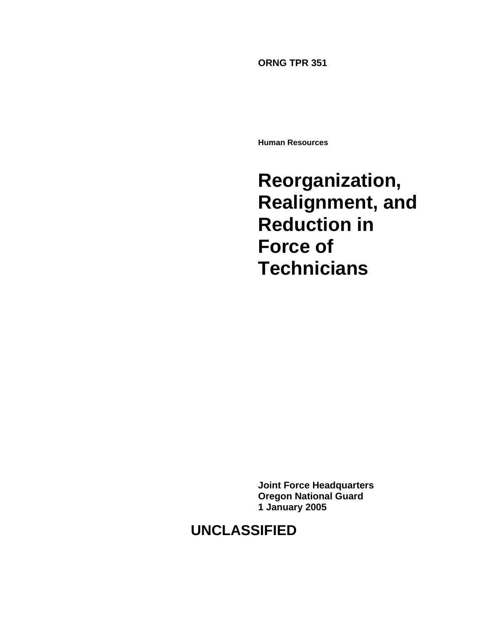**ORNG TPR 351** 

**Human Resources** 

**Reorganization, Realignment, and Reduction in Force of Technicians** 

**Joint Force Headquarters Oregon National Guard 1 January 2005** 

# **UNCLASSIFIED**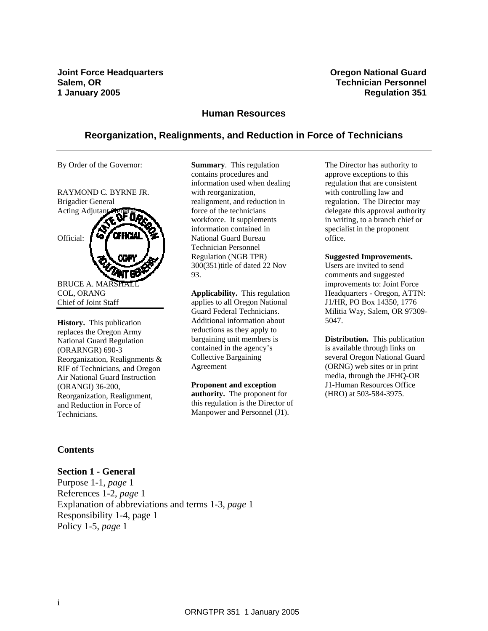**Joint Force Headquarters Community Community Community Community Cregon National Guard Salem, OR Technician Personnel 1 January 2005 Regulation 351** 

#### **Human Resources**

#### **Reorganization, Realignments, and Reduction in Force of Technicians**

By Order of the Governor:



**History.** This publication replaces the Oregon Army National Guard Regulation (ORARNGR) 690-3 Reorganization, Realignments & RIF of Technicians, and Oregon Air National Guard Instruction (ORANGI) 36-200, Reorganization, Realignment, and Reduction in Force of Technicians.

**Summary**. This regulation contains procedures and information used when dealing with reorganization, realignment, and reduction in force of the technicians workforce. It supplements information contained in National Guard Bureau Technician Personnel Regulation (NGB TPR) 300(351)title of dated 22 Nov 93.

**Applicability.** This regulation applies to all Oregon National Guard Federal Technicians. Additional information about reductions as they apply to bargaining unit members is contained in the agency's Collective Bargaining Agreement

**Proponent and exception authority.** The proponent for this regulation is the Director of Manpower and Personnel (J1).

The Director has authority to approve exceptions to this regulation that are consistent with controlling law and regulation. The Director may delegate this approval authority in writing, to a branch chief or specialist in the proponent office.

#### **Suggested Improvements.**

Users are invited to send comments and suggested improvements to: Joint Force Headquarters - Oregon, ATTN: J1/HR, PO Box 14350, 1776 Militia Way, Salem, OR 97309- 5047.

**Distribution.** This publication is available through links on several Oregon National Guard (ORNG) web sites or in print media, through the JFHQ-OR J1-Human Resources Office (HRO) at 503-584-3975.

#### **Contents**

#### **Section 1 - General**

Purpose 1-1, *page* 1 References 1-2, *page* 1 Explanation of abbreviations and terms 1-3, *page* 1 Responsibility 1-4, page 1 Policy 1-5, *page* 1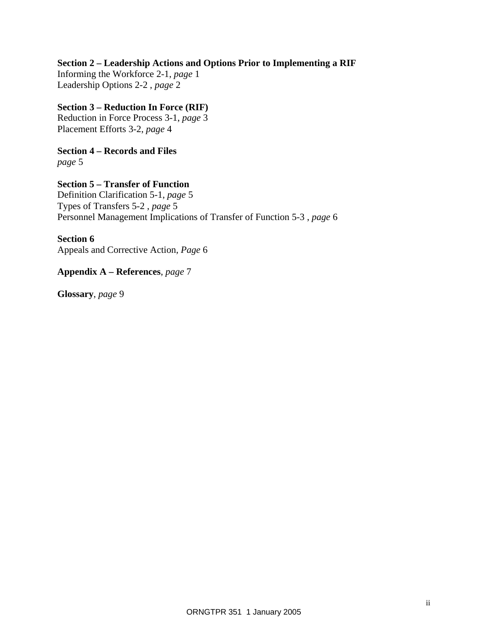## **Section 2 – Leadership Actions and Options Prior to Implementing a RIF**

Informing the Workforce 2-1, *page* 1 Leadership Options 2-2 , *page* 2

## **Section 3 – Reduction In Force (RIF)**

Reduction in Force Process 3-1, *page* 3 Placement Efforts 3-2, *page* 4

**Section 4 – Records and Files**  *page* 5

#### **Section 5 – Transfer of Function**

Definition Clarification 5-1, *page* 5 Types of Transfers 5-2 , *page* 5 Personnel Management Implications of Transfer of Function 5-3 , *page* 6

#### **Section 6**

Appeals and Corrective Action, *Page* 6

## **Appendix A – References**, *page* 7

**Glossary**, *page* 9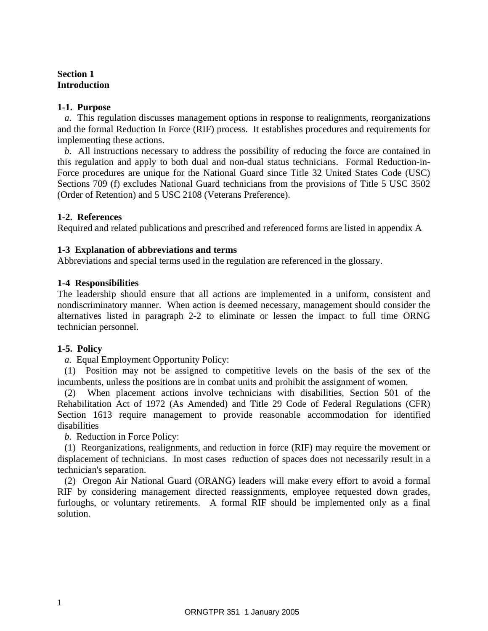# **Section 1 Introduction**

## **1-1. Purpose**

*a.* This regulation discusses management options in response to realignments, reorganizations and the formal Reduction In Force (RIF) process. It establishes procedures and requirements for implementing these actions.

*b.* All instructions necessary to address the possibility of reducing the force are contained in this regulation and apply to both dual and non-dual status technicians. Formal Reduction-in-Force procedures are unique for the National Guard since Title 32 United States Code (USC) Sections 709 (f) excludes National Guard technicians from the provisions of Title 5 USC 3502 (Order of Retention) and 5 USC 2108 (Veterans Preference).

## **1-2. References**

Required and related publications and prescribed and referenced forms are listed in appendix A

## **1-3 Explanation of abbreviations and terms**

Abbreviations and special terms used in the regulation are referenced in the glossary.

## **1-4 Responsibilities**

The leadership should ensure that all actions are implemented in a uniform, consistent and nondiscriminatory manner. When action is deemed necessary, management should consider the alternatives listed in paragraph 2-2 to eliminate or lessen the impact to full time ORNG technician personnel.

#### **1-5. Policy**

*a.* Equal Employment Opportunity Policy:

(1) Position may not be assigned to competitive levels on the basis of the sex of the incumbents, unless the positions are in combat units and prohibit the assignment of women.

(2) When placement actions involve technicians with disabilities, Section 501 of the Rehabilitation Act of 1972 (As Amended) and Title 29 Code of Federal Regulations (CFR) Section 1613 require management to provide reasonable accommodation for identified disabilities

*b.* Reduction in Force Policy:

(1) Reorganizations, realignments, and reduction in force (RIF) may require the movement or displacement of technicians. In most cases reduction of spaces does not necessarily result in a technician's separation.

(2) Oregon Air National Guard (ORANG) leaders will make every effort to avoid a formal RIF by considering management directed reassignments, employee requested down grades, furloughs, or voluntary retirements. A formal RIF should be implemented only as a final solution.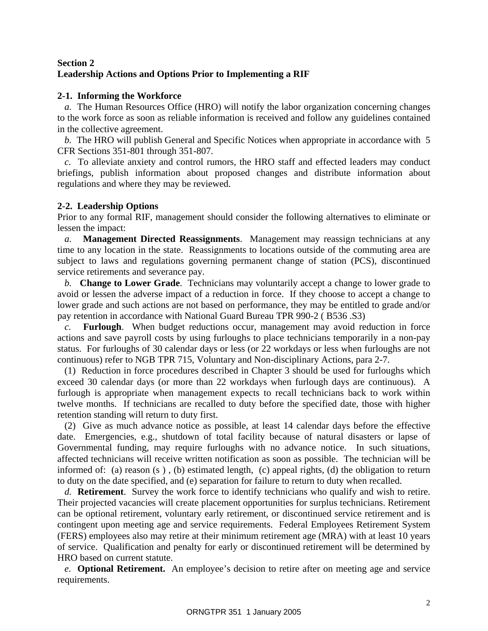# **Section 2 Leadership Actions and Options Prior to Implementing a RIF**

# **2-1. Informing the Workforce**

*a.* The Human Resources Office (HRO) will notify the labor organization concerning changes to the work force as soon as reliable information is received and follow any guidelines contained in the collective agreement.

*b.* The HRO will publish General and Specific Notices when appropriate in accordance with 5 CFR Sections 351-801 through 351-807.

*c.* To alleviate anxiety and control rumors, the HRO staff and effected leaders may conduct briefings, publish information about proposed changes and distribute information about regulations and where they may be reviewed.

## **2-2. Leadership Options**

Prior to any formal RIF, management should consider the following alternatives to eliminate or lessen the impact:

*a.* **Management Directed Reassignments**. Management may reassign technicians at any time to any location in the state. Reassignments to locations outside of the commuting area are subject to laws and regulations governing permanent change of station (PCS), discontinued service retirements and severance pay.

*b.* **Change to Lower Grade**. Technicians may voluntarily accept a change to lower grade to avoid or lessen the adverse impact of a reduction in force. If they choose to accept a change to lower grade and such actions are not based on performance, they may be entitled to grade and/or pay retention in accordance with National Guard Bureau TPR 990-2 ( B536 .S3)

*c.* **Furlough**. When budget reductions occur, management may avoid reduction in force actions and save payroll costs by using furloughs to place technicians temporarily in a non-pay status. For furloughs of 30 calendar days or less (or 22 workdays or less when furloughs are not continuous) refer to NGB TPR 715, Voluntary and Non-disciplinary Actions, para 2-7.

(1) Reduction in force procedures described in Chapter 3 should be used for furloughs which exceed 30 calendar days (or more than 22 workdays when furlough days are continuous). A furlough is appropriate when management expects to recall technicians back to work within twelve months. If technicians are recalled to duty before the specified date, those with higher retention standing will return to duty first.

(2) Give as much advance notice as possible, at least 14 calendar days before the effective date. Emergencies, e.g., shutdown of total facility because of natural disasters or lapse of Governmental funding, may require furloughs with no advance notice. In such situations, affected technicians will receive written notification as soon as possible. The technician will be informed of: (a) reason (s ) , (b) estimated length, (c) appeal rights, (d) the obligation to return to duty on the date specified, and (e) separation for failure to return to duty when recalled.

*d.* **Retirement**. Survey the work force to identify technicians who qualify and wish to retire. Their projected vacancies will create placement opportunities for surplus technicians. Retirement can be optional retirement, voluntary early retirement, or discontinued service retirement and is contingent upon meeting age and service requirements. Federal Employees Retirement System (FERS) employees also may retire at their minimum retirement age (MRA) with at least 10 years of service. Qualification and penalty for early or discontinued retirement will be determined by HRO based on current statute.

*e.* **Optional Retirement.**An employee's decision to retire after on meeting age and service requirements.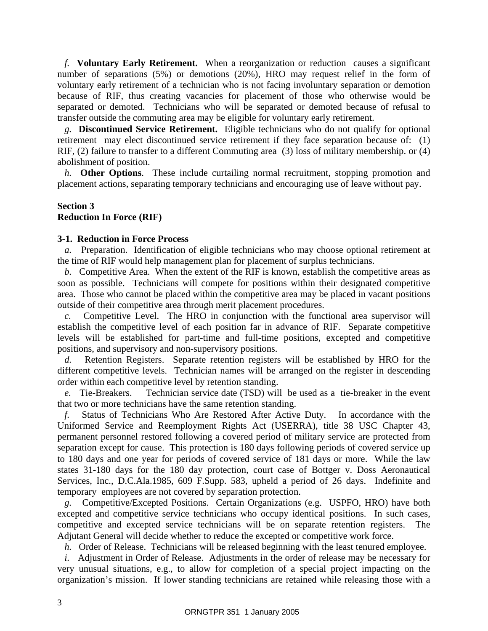*f.* **Voluntary Early Retirement.** When a reorganization or reduction causes a significant number of separations (5%) or demotions (20%), HRO may request relief in the form of voluntary early retirement of a technician who is not facing involuntary separation or demotion because of RIF, thus creating vacancies for placement of those who otherwise would be separated or demoted. Technicians who will be separated or demoted because of refusal to transfer outside the commuting area may be eligible for voluntary early retirement.

*g.* **Discontinued Service Retirement.** Eligible technicians who do not qualify for optional retirement may elect discontinued service retirement if they face separation because of: (1) RIF, (2) failure to transfer to a different Commuting area (3) loss of military membership. or (4) abolishment of position.

*h.* **Other Options**. These include curtailing normal recruitment, stopping promotion and placement actions, separating temporary technicians and encouraging use of leave without pay.

#### **Section 3 Reduction In Force (RIF)**

#### **3-1. Reduction in Force Process**

*a.* Preparation. Identification of eligible technicians who may choose optional retirement at the time of RIF would help management plan for placement of surplus technicians.

*b.* Competitive Area. When the extent of the RIF is known, establish the competitive areas as soon as possible. Technicians will compete for positions within their designated competitive area. Those who cannot be placed within the competitive area may be placed in vacant positions outside of their competitive area through merit placement procedures.

 *c.* Competitive Level. The HRO in conjunction with the functional area supervisor will establish the competitive level of each position far in advance of RIF. Separate competitive levels will be established for part-time and full-time positions, excepted and competitive positions, and supervisory and non-supervisory positions.

*d.* Retention Registers. Separate retention registers will be established by HRO for the different competitive levels. Technician names will be arranged on the register in descending order within each competitive level by retention standing.

*e.* Tie-Breakers. Technician service date (TSD) will be used as a tie-breaker in the event that two or more technicians have the same retention standing.

*f.* Status of Technicians Who Are Restored After Active Duty. In accordance with the Uniformed Service and Reemployment Rights Act (USERRA), title 38 USC Chapter 43, permanent personnel restored following a covered period of military service are protected from separation except for cause. This protection is 180 days following periods of covered service up to 180 days and one year for periods of covered service of 181 days or more. While the law states 31-180 days for the 180 day protection, court case of Bottger v. Doss Aeronautical Services, Inc., D.C.Ala.1985, 609 F.Supp. 583, upheld a period of 26 days. Indefinite and temporary employees are not covered by separation protection.

*g.* Competitive/Excepted Positions. Certain Organizations (e.g. USPFO, HRO) have both excepted and competitive service technicians who occupy identical positions. In such cases, competitive and excepted service technicians will be on separate retention registers. The Adjutant General will decide whether to reduce the excepted or competitive work force.

*h.* Order of Release. Technicians will be released beginning with the least tenured employee.

*i.* Adjustment in Order of Release. Adjustments in the order of release may be necessary for very unusual situations, e.g., to allow for completion of a special project impacting on the organization's mission. If lower standing technicians are retained while releasing those with a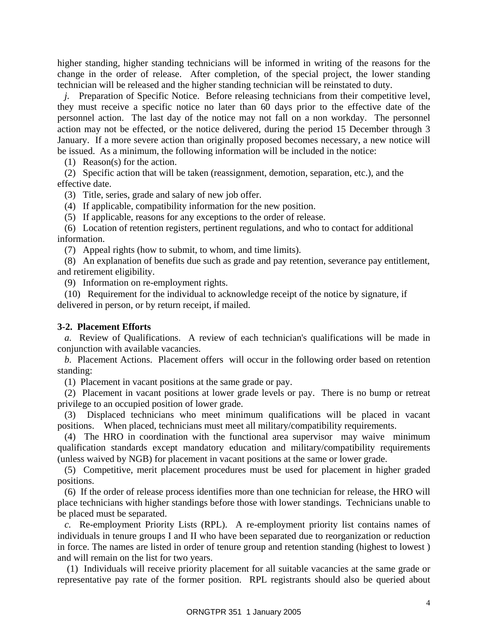higher standing, higher standing technicians will be informed in writing of the reasons for the change in the order of release. After completion, of the special project, the lower standing technician will be released and the higher standing technician will be reinstated to duty.

*j.* Preparation of Specific Notice. Before releasing technicians from their competitive level, they must receive a specific notice no later than 60 days prior to the effective date of the personnel action. The last day of the notice may not fall on a non workday. The personnel action may not be effected, or the notice delivered, during the period 15 December through 3 January. If a more severe action than originally proposed becomes necessary, a new notice will be issued. As a minimum, the following information will be included in the notice:

(1) Reason(s) for the action.

(2) Specific action that will be taken (reassignment, demotion, separation, etc.), and the effective date.

(3) Title, series, grade and salary of new job offer.

(4) If applicable, compatibility information for the new position.

(5) If applicable, reasons for any exceptions to the order of release.

(6) Location of retention registers, pertinent regulations, and who to contact for additional information.

(7) Appeal rights (how to submit, to whom, and time limits).

(8) An explanation of benefits due such as grade and pay retention, severance pay entitlement, and retirement eligibility.

(9) Information on re-employment rights.

(10) Requirement for the individual to acknowledge receipt of the notice by signature, if delivered in person, or by return receipt, if mailed.

#### **3-2. Placement Efforts**

*a.* Review of Qualifications. A review of each technician's qualifications will be made in conjunction with available vacancies.

*b.* Placement Actions. Placement offers will occur in the following order based on retention standing:

(1) Placement in vacant positions at the same grade or pay.

(2) Placement in vacant positions at lower grade levels or pay. There is no bump or retreat privilege to an occupied position of lower grade.

(3) Displaced technicians who meet minimum qualifications will be placed in vacant positions. When placed, technicians must meet all military/compatibility requirements.

(4) The HRO in coordination with the functional area supervisor may waive minimum qualification standards except mandatory education and military/compatibility requirements (unless waived by NGB) for placement in vacant positions at the same or lower grade.

(5) Competitive, merit placement procedures must be used for placement in higher graded positions.

(6) If the order of release process identifies more than one technician for release, the HRO will place technicians with higher standings before those with lower standings. Technicians unable to be placed must be separated.

*c.* Re-employment Priority Lists (RPL). A re-employment priority list contains names of individuals in tenure groups I and II who have been separated due to reorganization or reduction in force. The names are listed in order of tenure group and retention standing (highest to lowest ) and will remain on the list for two years.

 (1) Individuals will receive priority placement for all suitable vacancies at the same grade or representative pay rate of the former position. RPL registrants should also be queried about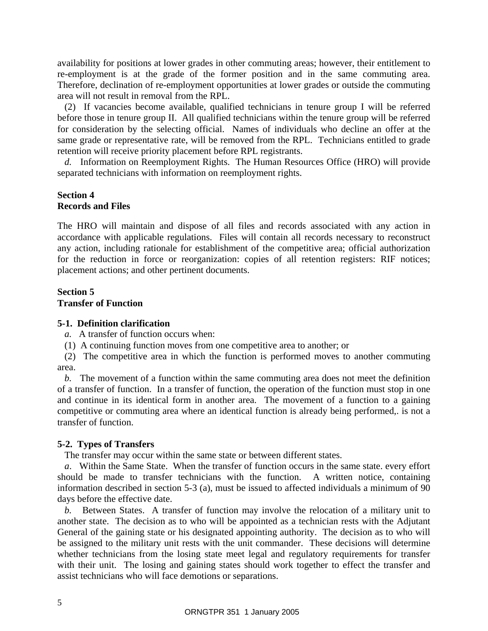availability for positions at lower grades in other commuting areas; however, their entitlement to re-employment is at the grade of the former position and in the same commuting area. Therefore, declination of re-employment opportunities at lower grades or outside the commuting area will not result in removal from the RPL.

(2) If vacancies become available, qualified technicians in tenure group I will be referred before those in tenure group II. All qualified technicians within the tenure group will be referred for consideration by the selecting official. Names of individuals who decline an offer at the same grade or representative rate, will be removed from the RPL. Technicians entitled to grade retention will receive priority placement before RPL registrants.

*d.* Information on Reemployment Rights. The Human Resources Office (HRO) will provide separated technicians with information on reemployment rights.

#### **Section 4 Records and Files**

The HRO will maintain and dispose of all files and records associated with any action in accordance with applicable regulations. Files will contain all records necessary to reconstruct any action, including rationale for establishment of the competitive area; official authorization for the reduction in force or reorganization: copies of all retention registers: RIF notices; placement actions; and other pertinent documents.

#### **Section 5 Transfer of Function**

#### **5-1. Definition clarification**

*a.* A transfer of function occurs when:

(1) A continuing function moves from one competitive area to another; or

(2) The competitive area in which the function is performed moves to another commuting area.

*b.* The movement of a function within the same commuting area does not meet the definition of a transfer of function. In a transfer of function, the operation of the function must stop in one and continue in its identical form in another area. The movement of a function to a gaining competitive or commuting area where an identical function is already being performed,. is not a transfer of function.

#### **5-2. Types of Transfers**

The transfer may occur within the same state or between different states.

*a*. Within the Same State. When the transfer of function occurs in the same state. every effort should be made to transfer technicians with the function. A written notice, containing information described in section 5-3 (a), must be issued to affected individuals a minimum of 90 days before the effective date.

*b.* Between States. A transfer of function may involve the relocation of a military unit to another state. The decision as to who will be appointed as a technician rests with the Adjutant General of the gaining state or his designated appointing authority. The decision as to who will be assigned to the military unit rests with the unit commander. These decisions will determine whether technicians from the losing state meet legal and regulatory requirements for transfer with their unit. The losing and gaining states should work together to effect the transfer and assist technicians who will face demotions or separations.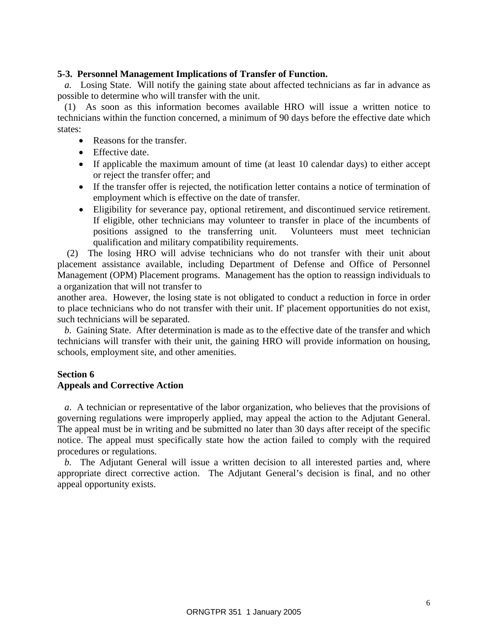#### **5-3. Personnel Management Implications of Transfer of Function.**

*a.* Losing State. Will notify the gaining state about affected technicians as far in advance as possible to determine who will transfer with the unit.

(1) As soon as this information becomes available HRO will issue a written notice to technicians within the function concerned, a minimum of 90 days before the effective date which states:

- Reasons for the transfer.
- Effective date.
- If applicable the maximum amount of time (at least 10 calendar days) to either accept or reject the transfer offer; and
- If the transfer offer is rejected, the notification letter contains a notice of termination of employment which is effective on the date of transfer.
- Eligibility for severance pay, optional retirement, and discontinued service retirement. If eligible, other technicians may volunteer to transfer in place of the incumbents of positions assigned to the transferring unit. Volunteers must meet technician qualification and military compatibility requirements.

 (2) The losing HRO will advise technicians who do not transfer with their unit about placement assistance available, including Department of Defense and Office of Personnel Management (OPM) Placement programs. Management has the option to reassign individuals to a organization that will not transfer to

another area. However, the losing state is not obligated to conduct a reduction in force in order to place technicians who do not transfer with their unit. If' placement opportunities do not exist, such technicians will be separated.

*b.* Gaining State. After determination is made as to the effective date of the transfer and which technicians will transfer with their unit, the gaining HRO will provide information on housing, schools, employment site, and other amenities.

#### **Section 6 Appeals and Corrective Action**

*a*. A technician or representative of the labor organization, who believes that the provisions of governing regulations were improperly applied, may appeal the action to the Adjutant General. The appeal must be in writing and be submitted no later than 30 days after receipt of the specific notice. The appeal must specifically state how the action failed to comply with the required procedures or regulations.

*b.* The Adjutant General will issue a written decision to all interested parties and, where appropriate direct corrective action. The Adjutant General's decision is final, and no other appeal opportunity exists.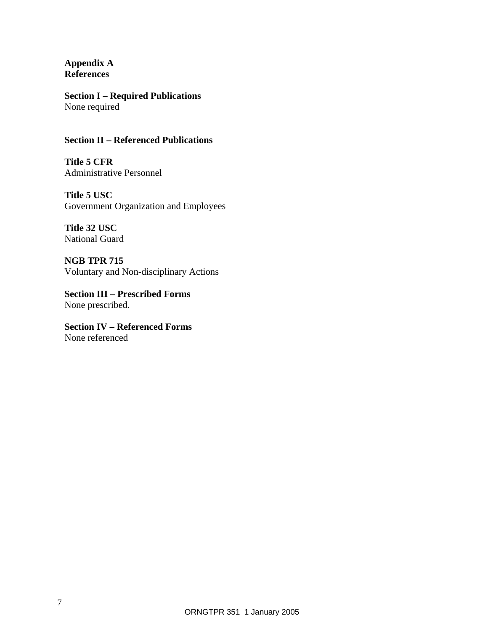**Appendix A References** 

**Section I – Required Publications**  None required

#### **Section II – Referenced Publications**

**Title 5 CFR**  Administrative Personnel

**Title 5 USC**  Government Organization and Employees

**Title 32 USC**  National Guard

**NGB TPR 715**  Voluntary and Non-disciplinary Actions

**Section III – Prescribed Forms**  None prescribed.

**Section IV – Referenced Forms**  None referenced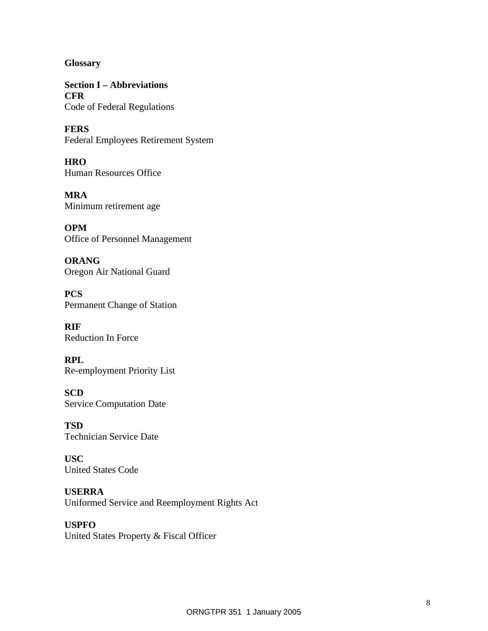**Glossary** 

**Section I – Abbreviations CFR**  Code of Federal Regulations

**FERS**  Federal Employees Retirement System

**HRO**  Human Resources Office

**MRA**  Minimum retirement age

**OPM**  Office of Personnel Management

**ORANG**  Oregon Air National Guard

**PCS**  Permanent Change of Station

**RIF**  Reduction In Force

**RPL**  Re-employment Priority List

**SCD**  Service Computation Date

**TSD**  Technician Service Date

**USC**  United States Code

**USERRA**  Uniformed Service and Reemployment Rights Act

## **USPFO**  United States Property & Fiscal Officer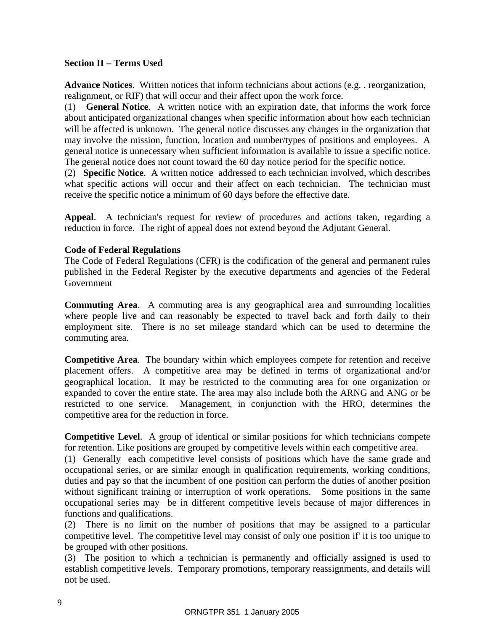#### **Section II – Terms Used**

**Advance Notices**. Written notices that inform technicians about actions (e.g. . reorganization, realignment, or RIF) that will occur and their affect upon the work force.

(1) **General Notice**. A written notice with an expiration date, that informs the work force about anticipated organizational changes when specific information about how each technician will be affected is unknown. The general notice discusses any changes in the organization that may involve the mission, function, location and number/types of positions and employees. A general notice is unnecessary when sufficient information is available to issue a specific notice. The general notice does not count toward the 60 day notice period for the specific notice.

(2) **Specific Notice**. A written notice addressed to each technician involved, which describes what specific actions will occur and their affect on each technician. The technician must receive the specific notice a minimum of 60 days before the effective date.

**Appeal**. A technician's request for review of procedures and actions taken, regarding a reduction in force. The right of appeal does not extend beyond the Adjutant General.

#### **Code of Federal Regulations**

The Code of Federal Regulations (CFR) is the codification of the general and permanent rules published in the Federal Register by the executive departments and agencies of the Federal Government

**Commuting Area**. A commuting area is any geographical area and surrounding localities where people live and can reasonably be expected to travel back and forth daily to their employment site. There is no set mileage standard which can be used to determine the commuting area.

**Competitive Area**. The boundary within which employees compete for retention and receive placement offers. A competitive area may be defined in terms of organizational and/or geographical location. It may be restricted to the commuting area for one organization or expanded to cover the entire state. The area may also include both the ARNG and ANG or be restricted to one service. Management, in conjunction with the HRO, determines the competitive area for the reduction in force.

**Competitive Level**. A group of identical or similar positions for which technicians compete for retention. Like positions are grouped by competitive levels within each competitive area.

(1) Generally each competitive level consists of positions which have the same grade and occupational series, or are similar enough in qualification requirements, working conditions, duties and pay so that the incumbent of one position can perform the duties of another position without significant training or interruption of work operations. Some positions in the same occupational series may be in different competitive levels because of major differences in functions and qualifications.

(2) There is no limit on the number of positions that may be assigned to a particular competitive level. The competitive level may consist of only one position if' it is too unique to be grouped with other positions.

(3) The position to which a technician is permanently and officially assigned is used to establish competitive levels. Temporary promotions, temporary reassignments, and details will not be used.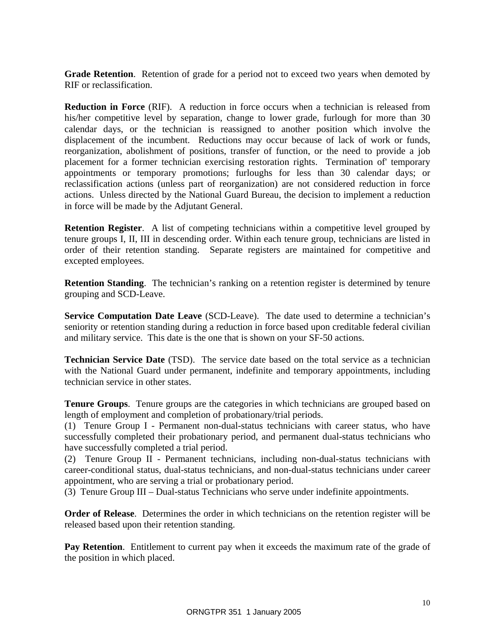**Grade Retention**. Retention of grade for a period not to exceed two years when demoted by RIF or reclassification.

**Reduction in Force** (RIF). A reduction in force occurs when a technician is released from his/her competitive level by separation, change to lower grade, furlough for more than 30 calendar days, or the technician is reassigned to another position which involve the displacement of the incumbent. Reductions may occur because of lack of work or funds, reorganization, abolishment of positions, transfer of function, or the need to provide a job placement for a former technician exercising restoration rights. Termination of' temporary appointments or temporary promotions; furloughs for less than 30 calendar days; or reclassification actions (unless part of reorganization) are not considered reduction in force actions. Unless directed by the National Guard Bureau, the decision to implement a reduction in force will be made by the Adjutant General.

**Retention Register.** A list of competing technicians within a competitive level grouped by tenure groups I, II, III in descending order. Within each tenure group, technicians are listed in order of their retention standing. Separate registers are maintained for competitive and excepted employees.

**Retention Standing**. The technician's ranking on a retention register is determined by tenure grouping and SCD-Leave.

**Service Computation Date Leave** (SCD-Leave). The date used to determine a technician's seniority or retention standing during a reduction in force based upon creditable federal civilian and military service. This date is the one that is shown on your SF-50 actions.

**Technician Service Date** (TSD). The service date based on the total service as a technician with the National Guard under permanent, indefinite and temporary appointments, including technician service in other states.

**Tenure Groups**. Tenure groups are the categories in which technicians are grouped based on length of employment and completion of probationary/trial periods.

(1) Tenure Group I - Permanent non-dual-status technicians with career status, who have successfully completed their probationary period, and permanent dual-status technicians who have successfully completed a trial period.

(2) Tenure Group II - Permanent technicians, including non-dual-status technicians with career-conditional status, dual-status technicians, and non-dual-status technicians under career appointment, who are serving a trial or probationary period.

(3) Tenure Group III – Dual-status Technicians who serve under indefinite appointments.

**Order of Release**. Determines the order in which technicians on the retention register will be released based upon their retention standing.

**Pay Retention**. Entitlement to current pay when it exceeds the maximum rate of the grade of the position in which placed.